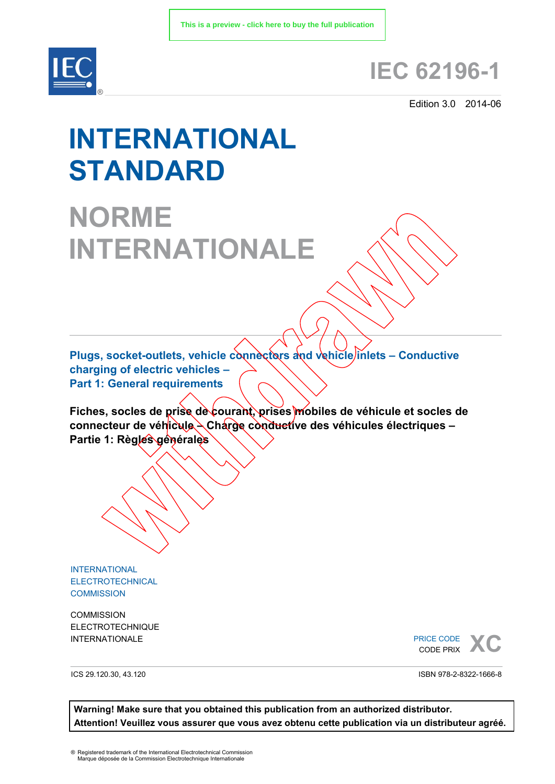

## **IEC 62196-1**

Edition 3.0 2014-06

# **INTERNATIONAL STANDARD**

**NORME INTERNATIONALE**

**Plugs, socket-outlets, vehicle connectors and vehicle inlets – Conductive charging of electric vehicles – Part 1: General requirements**

Fiches, socles de prise de courant, prises mobiles de véhicule et socles de **connecteur de véhicule – Charge conductive des véhicules électriques – Partie 1: Règles générales**

INTERNATIONAL **ELECTROTECHNICAL COMMISSION** 

**COMMISSION** ELECTROTECHNIQUE

INTERNATIONALE PRICE CODE PRIX **XC** PRICE CODE CODE PRIX

ICS 29.120.30, 43.120

ISBN 978-2-8322-1666-8

**Warning! Make sure that you obtained this publication from an authorized distributor. Attention! Veuillez vous assurer que vous avez obtenu cette publication via un distributeur agréé.**

® Registered trademark of the International Electrotechnical Commission Marque déposée de la Commission Electrotechnique Internationale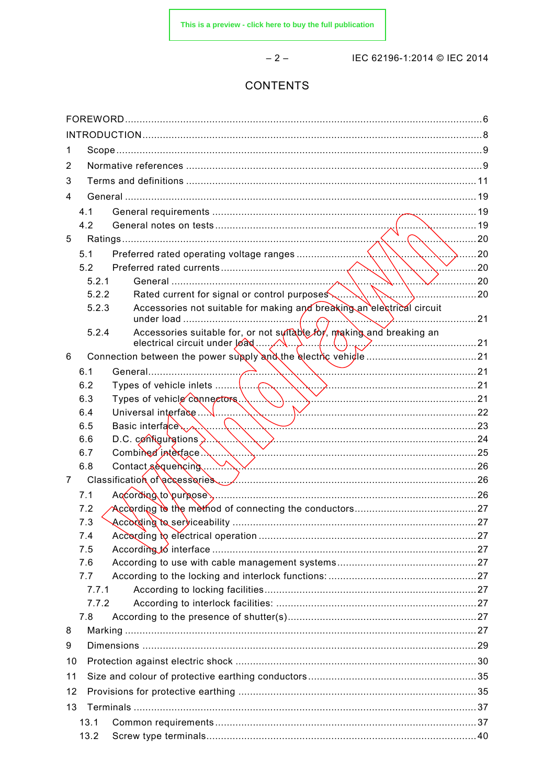$-2-$ 

IEC 62196-1:2014 © IEC 2014

### **CONTENTS**

| 1  |            |                                                                                                        |    |
|----|------------|--------------------------------------------------------------------------------------------------------|----|
| 2  |            |                                                                                                        |    |
| 3  |            |                                                                                                        |    |
| 4  |            |                                                                                                        |    |
|    | 4.1        |                                                                                                        |    |
|    | 4.2        |                                                                                                        |    |
| 5  |            |                                                                                                        |    |
|    | 5.1        | $\ldots$ 20                                                                                            |    |
|    | 5.2        | $\sim$ 20                                                                                              |    |
|    | 5.2.1      |                                                                                                        | 20 |
|    | 5.2.2      | Rated current for signal or control purposes                                                           |    |
|    | 5.2.3      | Accessories not suitable for making and breaking an electrical circuit                                 |    |
|    | 5.2.4      | Accessories suitable for, or not suitable for, making and breaking an<br>electrical circuit under load |    |
| 6  |            |                                                                                                        |    |
|    | 6.1        |                                                                                                        |    |
|    | 6.2        |                                                                                                        |    |
|    | 6.3        |                                                                                                        |    |
|    | 6.4        | Universal interface Manual Manual Manual 22                                                            |    |
|    | 6.5        | Basic interface                                                                                        |    |
|    | 6.6        |                                                                                                        |    |
|    | 6.7        |                                                                                                        |    |
|    | 6.8        | $\sqrt{26}$<br>Contact sequencing                                                                      |    |
| 7  |            |                                                                                                        |    |
|    | 7.1        | According to purpose                                                                                   |    |
|    | 7.2<br>7.3 |                                                                                                        |    |
|    | 7.4        |                                                                                                        |    |
|    | 7.5        |                                                                                                        |    |
|    | 7.6        |                                                                                                        |    |
|    | 7.7        |                                                                                                        |    |
|    | 7.7.1      |                                                                                                        |    |
|    | 7.7.2      |                                                                                                        |    |
|    | 7.8        |                                                                                                        |    |
| 8  |            |                                                                                                        |    |
| 9  |            |                                                                                                        |    |
| 10 |            |                                                                                                        |    |
| 11 |            |                                                                                                        |    |
| 12 |            |                                                                                                        |    |
| 13 |            |                                                                                                        |    |
|    | 13.1       |                                                                                                        |    |
|    | 13.2       |                                                                                                        |    |
|    |            |                                                                                                        |    |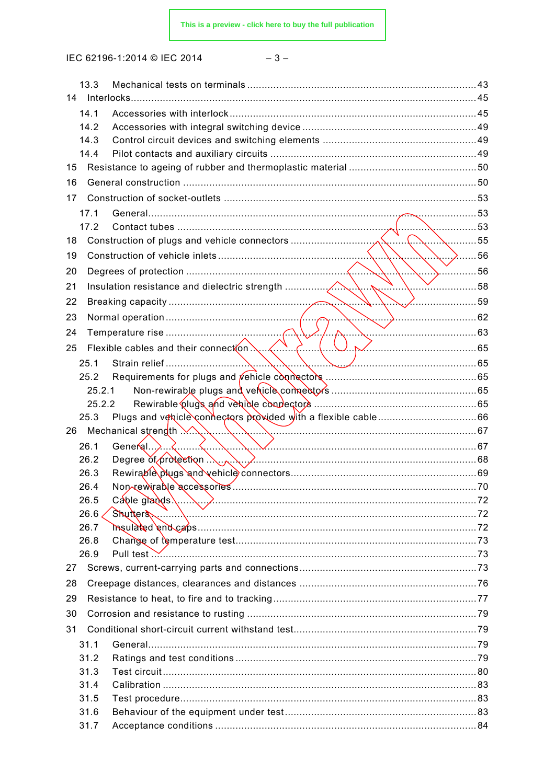IEC 62196-1:2014 © IEC 2014

$$
-3-
$$

|    | 13.3             |                                                                                                                                                                                                                                                                                                                                                                                |  |
|----|------------------|--------------------------------------------------------------------------------------------------------------------------------------------------------------------------------------------------------------------------------------------------------------------------------------------------------------------------------------------------------------------------------|--|
| 14 |                  | Interlocks                                                                                                                                                                                                                                                                                                                                                                     |  |
|    | 14.1             |                                                                                                                                                                                                                                                                                                                                                                                |  |
|    | 14.2             |                                                                                                                                                                                                                                                                                                                                                                                |  |
|    | 14.3             |                                                                                                                                                                                                                                                                                                                                                                                |  |
|    | 14.4             |                                                                                                                                                                                                                                                                                                                                                                                |  |
| 15 |                  |                                                                                                                                                                                                                                                                                                                                                                                |  |
| 16 |                  |                                                                                                                                                                                                                                                                                                                                                                                |  |
| 17 |                  |                                                                                                                                                                                                                                                                                                                                                                                |  |
|    | 17.1             |                                                                                                                                                                                                                                                                                                                                                                                |  |
|    | 17.2             |                                                                                                                                                                                                                                                                                                                                                                                |  |
| 18 |                  |                                                                                                                                                                                                                                                                                                                                                                                |  |
| 19 |                  | $\ldots$ 56                                                                                                                                                                                                                                                                                                                                                                    |  |
| 20 |                  |                                                                                                                                                                                                                                                                                                                                                                                |  |
| 21 |                  | 58                                                                                                                                                                                                                                                                                                                                                                             |  |
| 22 |                  | <u>/</u> …………………59                                                                                                                                                                                                                                                                                                                                                             |  |
| 23 |                  |                                                                                                                                                                                                                                                                                                                                                                                |  |
| 24 |                  |                                                                                                                                                                                                                                                                                                                                                                                |  |
| 25 |                  |                                                                                                                                                                                                                                                                                                                                                                                |  |
|    |                  |                                                                                                                                                                                                                                                                                                                                                                                |  |
|    | 25.1             |                                                                                                                                                                                                                                                                                                                                                                                |  |
|    | 25.2             |                                                                                                                                                                                                                                                                                                                                                                                |  |
|    | 25.2.1<br>25.2.2 |                                                                                                                                                                                                                                                                                                                                                                                |  |
|    | 25.3             |                                                                                                                                                                                                                                                                                                                                                                                |  |
| 26 |                  | Mechanical strength $\sum_{n=1}^{\infty}$ methods are not in the set of $\mathcal{S}$ .                                                                                                                                                                                                                                                                                        |  |
|    | 26.1             | $Gener al.$                                                                                                                                                                                                                                                                                                                                                                    |  |
|    | 26.2             |                                                                                                                                                                                                                                                                                                                                                                                |  |
|    | 26.3             |                                                                                                                                                                                                                                                                                                                                                                                |  |
|    | 26.4             |                                                                                                                                                                                                                                                                                                                                                                                |  |
|    | 26.5             |                                                                                                                                                                                                                                                                                                                                                                                |  |
|    | 26.6             | Shutters 22                                                                                                                                                                                                                                                                                                                                                                    |  |
|    | 26.7             | $\ln \left( \frac{1}{2} \right)$ and $\left( \frac{1}{2} \right)$ and $\left( \frac{1}{2} \right)$ and $\left( \frac{1}{2} \right)$ and $\left( \frac{1}{2} \right)$ and $\left( \frac{1}{2} \right)$ and $\left( \frac{1}{2} \right)$ and $\left( \frac{1}{2} \right)$ and $\left( \frac{1}{2} \right)$ and $\left( \frac{1}{2} \right)$ and $\left( \frac{1}{2} \right)$ and |  |
|    | 26.8             |                                                                                                                                                                                                                                                                                                                                                                                |  |
|    | 26.9             |                                                                                                                                                                                                                                                                                                                                                                                |  |
| 27 |                  |                                                                                                                                                                                                                                                                                                                                                                                |  |
| 28 |                  |                                                                                                                                                                                                                                                                                                                                                                                |  |
| 29 |                  |                                                                                                                                                                                                                                                                                                                                                                                |  |
| 30 |                  |                                                                                                                                                                                                                                                                                                                                                                                |  |
|    |                  |                                                                                                                                                                                                                                                                                                                                                                                |  |
| 31 |                  |                                                                                                                                                                                                                                                                                                                                                                                |  |
|    | 31.1             |                                                                                                                                                                                                                                                                                                                                                                                |  |
|    | 31.2             |                                                                                                                                                                                                                                                                                                                                                                                |  |
|    | 31.3             |                                                                                                                                                                                                                                                                                                                                                                                |  |
|    | 31.4             |                                                                                                                                                                                                                                                                                                                                                                                |  |
|    | 31.5             |                                                                                                                                                                                                                                                                                                                                                                                |  |
|    | 31.6             |                                                                                                                                                                                                                                                                                                                                                                                |  |
|    | 31.7             |                                                                                                                                                                                                                                                                                                                                                                                |  |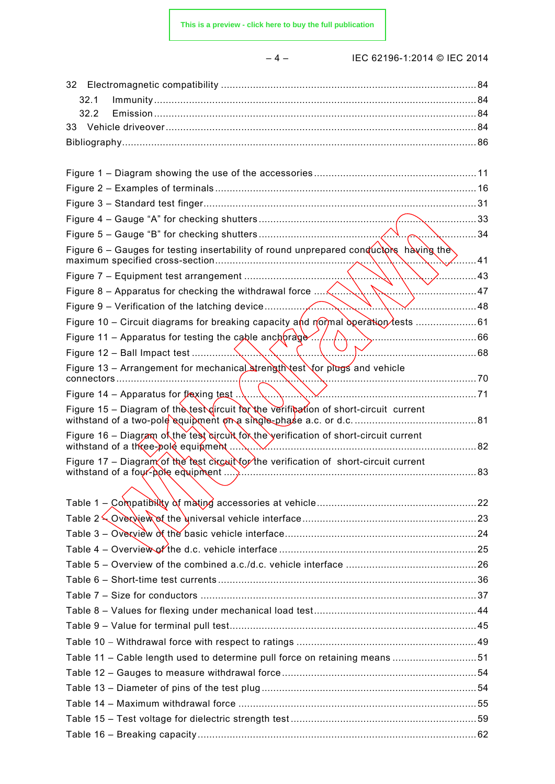– 4 – IEC 62196-1:2014 © IEC 2014

| 32.                                                                                                                         |    |
|-----------------------------------------------------------------------------------------------------------------------------|----|
| 32.1                                                                                                                        |    |
| 32.2                                                                                                                        |    |
|                                                                                                                             |    |
|                                                                                                                             |    |
|                                                                                                                             |    |
|                                                                                                                             |    |
|                                                                                                                             |    |
|                                                                                                                             |    |
|                                                                                                                             |    |
| $\sim$ $\sim$ $\sim$ $\sim$ $\sim$ 34                                                                                       |    |
| Figure 6 – Gauges for testing insertability of round unprepared conductors having the<br>$\ldots$ $\ldots$ 41               |    |
|                                                                                                                             |    |
|                                                                                                                             |    |
|                                                                                                                             |    |
| Figure 10 – Circuit diagrams for breaking capacity and normal operation rests 61                                            |    |
| Figure 11 - Apparatus for testing the cable anchorage                                                                       |    |
|                                                                                                                             |    |
| Figure 13 – Arrangement for mechanical strength (est for plugs and vehicle                                                  |    |
|                                                                                                                             |    |
| Figure 14 – Apparatus for the xing test $\ldots$ , $\ldots$                                                                 |    |
| Figure 15 – Diagram of the test direcuit for the verification of short-circuit current                                      |    |
| Figure 16 – Diagram of the test circult for the verification of short-circuit current                                       |    |
| Figure 17 – Diagram of the fest circuit for the verification of short-circuit current<br>withstand of a four-pole equipment | 83 |
|                                                                                                                             |    |
|                                                                                                                             |    |
|                                                                                                                             |    |
|                                                                                                                             |    |
|                                                                                                                             |    |
|                                                                                                                             |    |
|                                                                                                                             |    |
|                                                                                                                             |    |
|                                                                                                                             |    |
|                                                                                                                             |    |
|                                                                                                                             |    |
| Table 11 - Cable length used to determine pull force on retaining means 51                                                  |    |
|                                                                                                                             |    |
|                                                                                                                             |    |
|                                                                                                                             |    |
|                                                                                                                             |    |
|                                                                                                                             |    |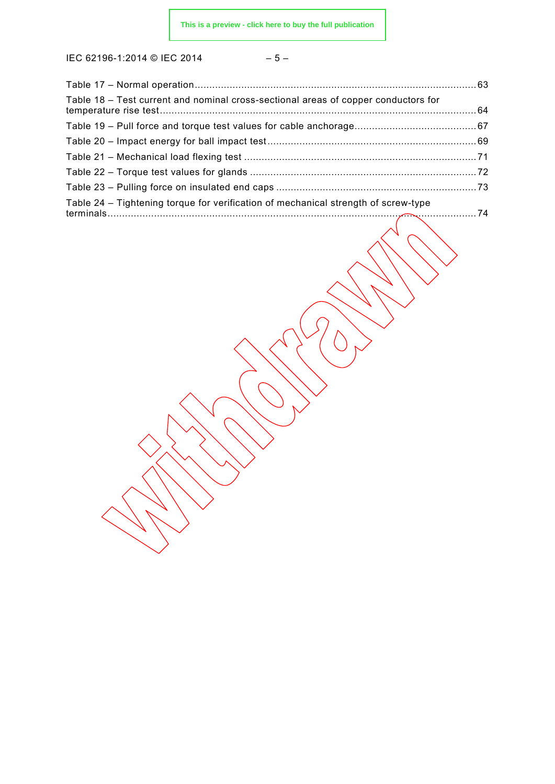IEC 62196-1:2014 © IEC 2014 – 5 –

| Table 18 - Test current and nominal cross-sectional areas of copper conductors for |  |
|------------------------------------------------------------------------------------|--|
|                                                                                    |  |
|                                                                                    |  |
|                                                                                    |  |
|                                                                                    |  |
|                                                                                    |  |
| Table 24 – Tightening torque for verification of mechanical strength of screw-type |  |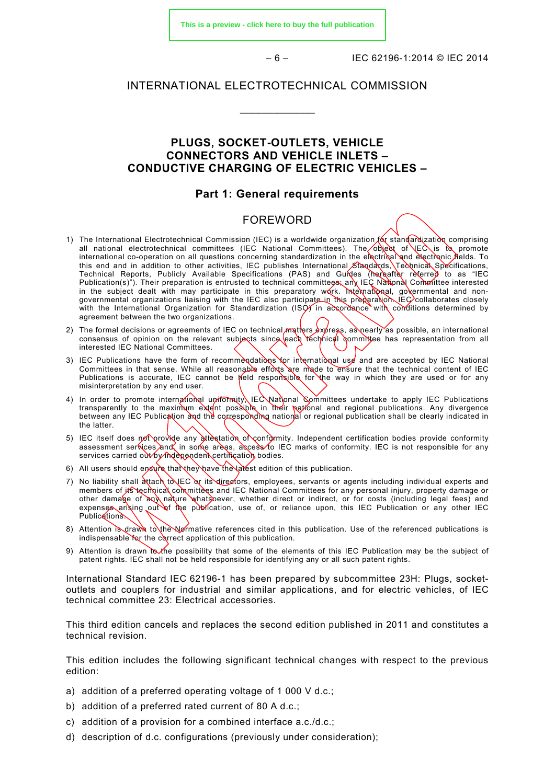**[This is a preview - click here to buy the full publication](https://webstore.iec.ch/publication/6582&preview)**

– 6 – IEC 62196-1:2014 © IEC 2014

#### INTERNATIONAL ELECTROTECHNICAL COMMISSION

\_\_\_\_\_\_\_\_\_\_\_\_

#### **PLUGS, SOCKET-OUTLETS, VEHICLE CONNECTORS AND VEHICLE INLETS – CONDUCTIVE CHARGING OF ELECTRIC VEHICLES –**

#### **Part 1: General requirements**

#### FOREWORD

- <span id="page-5-0"></span>1) The International Electrotechnical Commission (IEC) is a worldwide organization for standardization comprising all national electrotechnical committees (IEC National Committees). The object of  $\text{CE}$  is to promote international co-operation on all questions concerning standardization in the electrical and electronic fields. To this end and in addition to other activities, IEC publishes International Standards, Technical Specifications, Technical Reports, Publicly Available Specifications (PAS) and Guides (hereafter referred to as "IEC Publication(s)"). Their preparation is entrusted to technical committees; any IEC National Committee interested in the subject dealt with may participate in this preparatory work. International, governmental and nongovernmental organizations liaising with the IEC also participate in this preparation. IEC collaborates closely with the International Organization for Standardization (ISO) in accordance with conditions determined by agreement between the two organizations.
- 2) The formal decisions or agreements of IEC on technical  $m$ atters  $\&x$  press, as nearly as possible, an international consensus of opinion on the relevant subjects since each technical committee has representation from all interested IEC National Committees.
- 3) IEC Publications have the form of recommendations for international use and are accepted by IEC National Committees in that sense. While all reasonable efforts are made to ensure that the technical content of IEC Publications is accurate, IEC cannot be  $\frac{1}{2}$  held responsible for the way in which they are used or for any misinterpretation by any end user.
- 4) In order to promote international upiformity, IEC National Committees undertake to apply IEC Publications transparently to the maximum extent possible in their national and regional publications. Any divergence between any IEC Publication and the corresponding national or regional publication shall be clearly indicated in the latter.
- 5) IEC itself does not provide any attestation of conformity. Independent certification bodies provide conformity assessment services and, in some areas, access to IEC marks of conformity. IEC is not responsible for any services carried out by independent certification bodies.
- 6) All users should ensure that they have the latest edition of this publication.
- 7) No liability shall attach to IEC or its directors, employees, servants or agents including individual experts and members of its technical committees and IEC National Committees for any personal injury, property damage or other damage of any nature whatsoever, whether direct or indirect, or for costs (including legal fees) and expenses arising out of the publication, use of, or reliance upon, this IEC Publication or any other IEC Publications.
- 8) Attention is drawn to the Normative references cited in this publication. Use of the referenced publications is indispensable for the correct application of this publication.
- 9) Attention is drawn to the possibility that some of the elements of this IEC Publication may be the subject of patent rights. IEC shall not be held responsible for identifying any or all such patent rights.

International Standard IEC 62196-1 has been prepared by subcommittee 23H: Plugs, socketoutlets and couplers for industrial and similar applications, and for electric vehicles, of IEC technical committee 23: Electrical accessories.

This third edition cancels and replaces the second edition published in 2011 and constitutes a technical revision.

This edition includes the following significant technical changes with respect to the previous edition:

- a) addition of a preferred operating voltage of 1 000 V d.c.;
- b) addition of a preferred rated current of 80 A d.c.;
- c) addition of a provision for a combined interface a.c./d.c.;
- d) description of d.c. configurations (previously under consideration);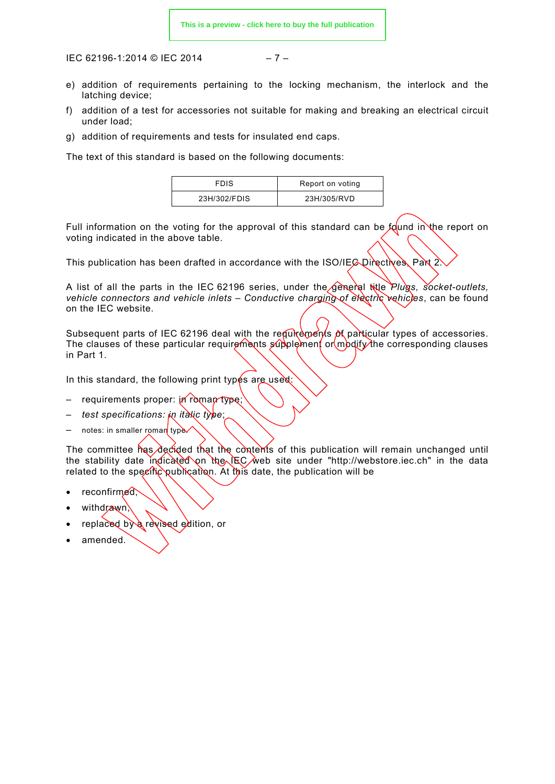IEC 62196-1:2014 © IEC 2014 – 7 –

- e) addition of requirements pertaining to the locking mechanism, the interlock and the latching device;
- f) addition of a test for accessories not suitable for making and breaking an electrical circuit under load;
- g) addition of requirements and tests for insulated end caps.

The text of this standard is based on the following documents:

| FDIS         | Report on voting |
|--------------|------------------|
| 23H/302/FDIS | 23H/305/RVD      |

Full information on the voting for the approval of this standard can be  $f_Q$ und in the report on voting indicated in the above table.

This publication has been drafted in accordance with the ISO/IE&Directives, Part 2.

A list of all the parts in the IEC 62196 series, under the general title *Plugs, socket-outlets, vehicle connectors and vehicle inlets – Conductive charging of electric vehicles*, can be found on the IEC website.

Subsequent parts of IEC 62196 deal with the reguivently of particular types of accessories. The clauses of these particular requirements supplement or modify the corresponding clauses in Part 1.

In this standard, the following print types are used:

- requirements proper: in roman type;
- *test specifications: in italic type*;
- notes: in smaller roman type.

The committee has decided that the contents of this publication will remain unchanged until the stability date indicated on the IEC web site under "http://webstore.iec.ch" in the data related to the specific publication. At this date, the publication will be

- reconfirmed.
- withdrawn,
- replaced by a revised edition, or
- amended.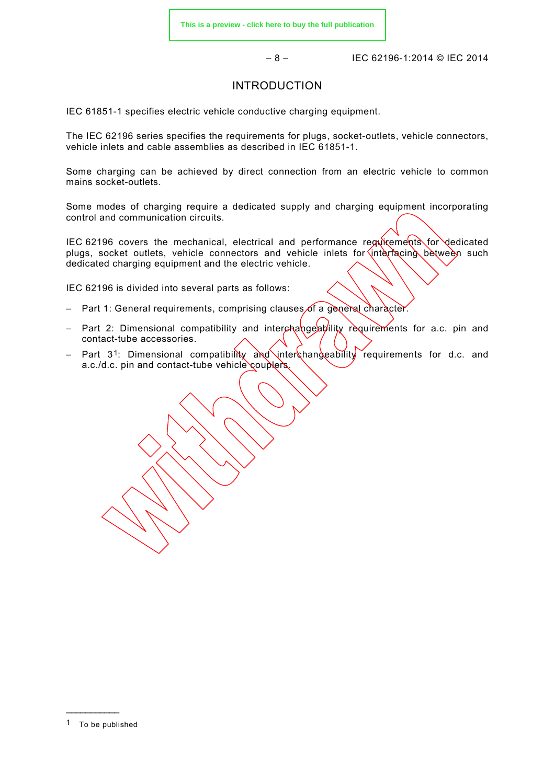– 8 – IEC 62196-1:2014 © IEC 2014

#### INTRODUCTION

<span id="page-7-0"></span>IEC 61851-1 specifies electric vehicle conductive charging equipment.

The IEC 62196 series specifies the requirements for plugs, socket-outlets, vehicle connectors, vehicle inlets and cable assemblies as described in IEC 61851-1.

Some charging can be achieved by direct connection from an electric vehicle to common mains socket-outlets.

Some modes of charging require a dedicated supply and charging equipment incorporating control and communication circuits.

IEC 62196 covers the mechanical, electrical and performance requirements for dedicated plugs, socket outlets, vehicle connectors and vehicle inlets for interfacing between such dedicated charging equipment and the electric vehicle.

IEC 62196 is divided into several parts as follows:

- Part 1: General requirements, comprising clauses of a general character
- Part 2: Dimensional compatibility and interchangeability requirements for a.c. pin and contact-tube accessories.
- Part 3[1](#page-7-1): Dimensional compatibility and interchangeability requirements for d.c. and a.c./d.c. pin and contact-tube vehicle couplers.

 $\overline{\phantom{a}}$ 

<span id="page-7-1"></span><sup>1</sup> To be published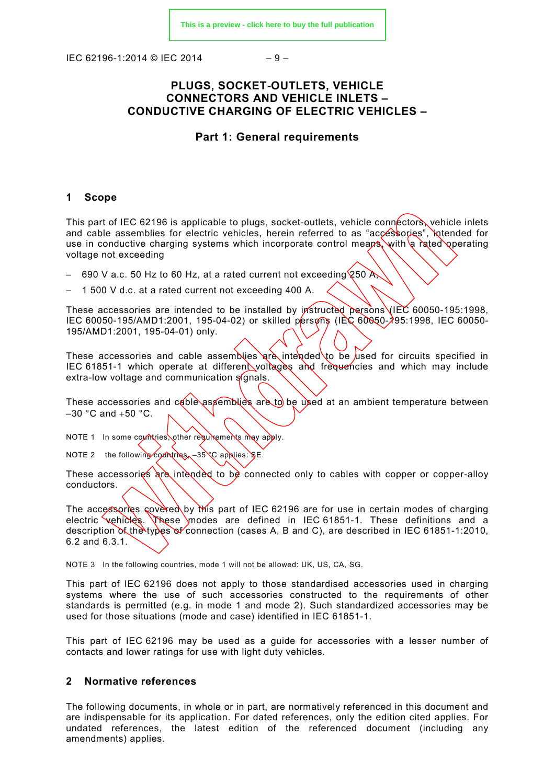IEC 62196-1:2014 © IEC 2014 – 9 –

#### **PLUGS, SOCKET-OUTLETS, VEHICLE CONNECTORS AND VEHICLE INLETS – CONDUCTIVE CHARGING OF ELECTRIC VEHICLES –**

#### **Part 1: General requirements**

#### <span id="page-8-0"></span>**1 Scope**

This part of IEC 62196 is applicable to plugs, socket-outlets, vehicle connectors, vehicle inlets and cable assemblies for electric vehicles, herein referred to as "accessories", intended for use in conductive charging systems which incorporate control means, with a rated operating voltage not exceeding

- 690 V a.c. 50 Hz to 60 Hz, at a rated current not exceeding 250 A,
- 1 500 V d.c. at a rated current not exceeding 400 A.

These accessories are intended to be installed by instructed persons (IEC 60050-195:1998, IEC 60050-195/AMD1:2001, 195-04-02) or skilled persons (IEC 60050-195:1998, IEC 60050- 195/AMD1:2001, 195-04-01) only.

These accessories and cable assemblies are intended to be used for circuits specified in IEC 61851-1 which operate at different voltages and frequencies and which may include extra-low voltage and communication  $s$  gnals.

These accessories and cable assemblies are to be used at an ambient temperature between  $-30$  °C and  $+50$  °C.

NOTE 1 In some countries, other requirements may apply.

NOTE 2 the following countries. –35 °C applies: SE

These accessories are intended to be connected only to cables with copper or copper-alloy conductors.

The accessories covered by this part of IEC 62196 are for use in certain modes of charging electric vehicles. These modes are defined in IEC 61851-1. These definitions and a description of the types of connection (cases A, B and C), are described in IEC 61851-1:2010, 6.2 and 6.3.1.

NOTE 3 In the following countries, mode 1 will not be allowed: UK, US, CA, SG.

This part of IEC 62196 does not apply to those standardised accessories used in charging systems where the use of such accessories constructed to the requirements of other standards is permitted (e.g. in mode 1 and mode 2). Such standardized accessories may be used for those situations (mode and case) identified in IEC 61851-1.

This part of IEC 62196 may be used as a guide for accessories with a lesser number of contacts and lower ratings for use with light duty vehicles.

#### <span id="page-8-1"></span>**2 Normative references**

The following documents, in whole or in part, are normatively referenced in this document and are indispensable for its application. For dated references, only the edition cited applies. For undated references, the latest edition of the referenced document (including any amendments) applies.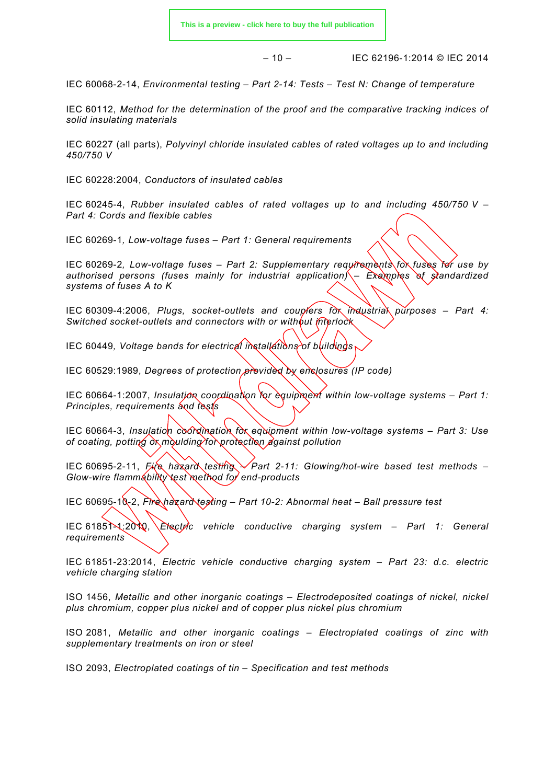– 10 – IEC 62196-1:2014 © IEC 2014

IEC 60068-2-14, *Environmental testing – Part 2-14: Tests – Test N: Change of temperature*

IEC 60112, *Method for the determination of the proof and the comparative tracking indices of solid insulating materials*

IEC 60227 (all parts), *Polyvinyl chloride insulated cables of rated voltages up to and including 450/750 V* 

IEC 60228:2004, *Conductors of insulated cables*

IEC 60245-4, *Rubber insulated cables of rated voltages up to and including 450/750 V – Part 4: Cords and flexible cables* 

IEC 60269-1*, Low-voltage fuses – Part 1: General requirements*

IEC 60269-2*, Low-voltage fuses – Part 2: Supplementary requirements for fuses for use by authorised persons (fuses mainly for industrial application) – Examples of standardized systems of fuses A to K* 

IEC 60309-4:2006, *Plugs, socket-outlets and couplers for industrial purposes – Part 4: Switched socket-outlets and connectors with or without interlock* 

IEC 60449*, Voltage bands for electrical installations of buildings*

IEC 60529:1989, *Degrees of protection provided by enclosures (IP code)*

IEC 60664-1:2007, *Insulation coordination for equipment within low-voltage systems – Part 1: Principles, requirements and tests*

IEC 60664-3, *Insulation coordination for equipment within low-voltage systems – Part 3: Use of coating, potting or moulding for protection against pollution* 

IEC 60695-2-11, *Fire hazard testing – Part 2-11: Glowing/hot-wire based test methods – Glow-wire flammability test method for end-products*

IEC 60695-10-2, *Fire hazard testing – Part 10-2: Abnormal heat – Ball pressure test*

IEC 61851-1:2010, *Electric vehicle conductive charging system – Part 1: General requirements* 

IEC 61851-23:2014, *Electric vehicle conductive charging system – Part 23: d.c. electric vehicle charging station*

ISO 1456, *Metallic and other inorganic coatings – Electrodeposited coatings of nickel, nickel plus chromium, copper plus nickel and of copper plus nickel plus chromium*

ISO 2081, *Metallic and other inorganic coatings – Electroplated coatings of zinc with supplementary treatments on iron or steel*

<span id="page-9-0"></span>ISO 2093, *Electroplated coatings of tin – Specification and test methods*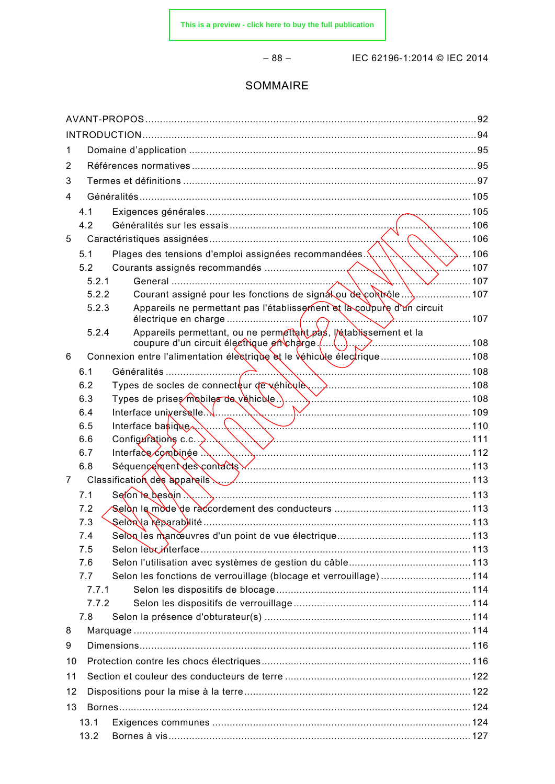$-88-$ 

IEC 62196-1:2014 © IEC 2014

#### SOMMAIRE

| 1                                                                                                                         |              |
|---------------------------------------------------------------------------------------------------------------------------|--------------|
| 2                                                                                                                         |              |
| 3                                                                                                                         |              |
| 4                                                                                                                         |              |
| 4.1                                                                                                                       |              |
| 4.2                                                                                                                       | 106          |
| 5                                                                                                                         |              |
| Plages des tensions d'emploi assignées recommandées. \\\<br>5.1                                                           | $\ldots$ 106 |
| 5.2                                                                                                                       |              |
| 5.2.1                                                                                                                     | $\sqrt{107}$ |
| 5.2.2                                                                                                                     |              |
| Appareils ne permettant pas l'établissement et la coupure d'un circuit<br>5.2.3                                           | . 107        |
| Appareils permettant, ou ne permettant pas, l'établissement et la<br>5.2.4<br>coupure d'un circuit électrique en charge ( |              |
| Connexion entre l'alimentation électrique et le véhicule électrique  108<br>6                                             |              |
| 6.1                                                                                                                       |              |
| 6.2                                                                                                                       |              |
| 6.3                                                                                                                       |              |
| 6.4                                                                                                                       |              |
| Interface basique<br>6.5                                                                                                  |              |
| 6.6                                                                                                                       |              |
| Interface combinge<br>6.7                                                                                                 |              |
| Séquencement des contacts<br>6.8                                                                                          |              |
| $\overline{7}$                                                                                                            |              |
| 7.1                                                                                                                       |              |
| 7.2                                                                                                                       |              |
| 7.3                                                                                                                       |              |
| 7.4                                                                                                                       |              |
| 7.5                                                                                                                       |              |
| 7.6                                                                                                                       |              |
| Selon les fonctions de verrouillage (blocage et verrouillage)114<br>7.7                                                   |              |
| 7.7.1<br>7.7.2                                                                                                            |              |
| 7.8                                                                                                                       |              |
| 8                                                                                                                         |              |
| 9                                                                                                                         |              |
|                                                                                                                           |              |
| 10                                                                                                                        |              |
| 11                                                                                                                        |              |
| 12                                                                                                                        |              |
| 13                                                                                                                        |              |
| 13.1                                                                                                                      |              |
| 13.2                                                                                                                      |              |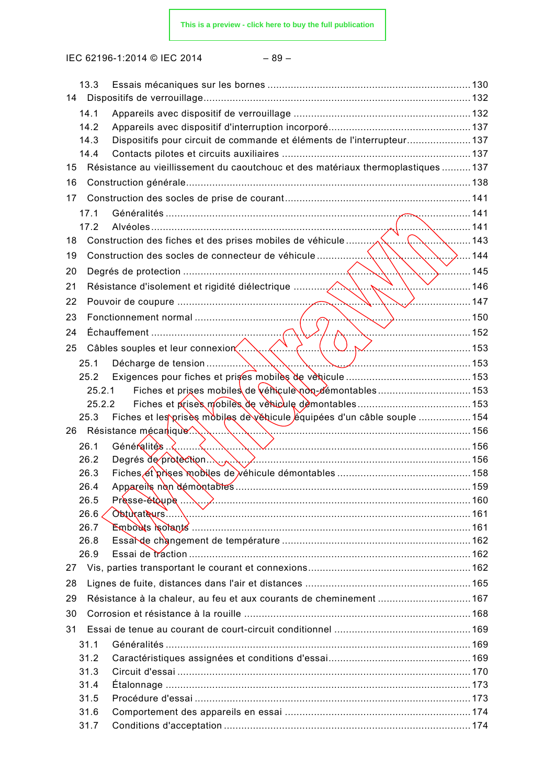IEC 62196-1:2014 © IEC 2014 – 89 –

| 13.3   |                                                                                                                                                                                                                                                                                                                                    |  |
|--------|------------------------------------------------------------------------------------------------------------------------------------------------------------------------------------------------------------------------------------------------------------------------------------------------------------------------------------|--|
| 14     |                                                                                                                                                                                                                                                                                                                                    |  |
| 14.1   |                                                                                                                                                                                                                                                                                                                                    |  |
| 14.2   |                                                                                                                                                                                                                                                                                                                                    |  |
| 14.3   | Dispositifs pour circuit de commande et éléments de l'interrupteur 137                                                                                                                                                                                                                                                             |  |
| 14.4   | Résistance au vieillissement du caoutchouc et des matériaux thermoplastiques  137                                                                                                                                                                                                                                                  |  |
| 15     |                                                                                                                                                                                                                                                                                                                                    |  |
| 16     |                                                                                                                                                                                                                                                                                                                                    |  |
| 17     |                                                                                                                                                                                                                                                                                                                                    |  |
| 17.1   |                                                                                                                                                                                                                                                                                                                                    |  |
| 17.2   |                                                                                                                                                                                                                                                                                                                                    |  |
| 18     | Construction des socles de connecteur de véhicule                                                                                                                                                                                                                                                                                  |  |
| 19     | $\bigwedge$ 2 144                                                                                                                                                                                                                                                                                                                  |  |
| 20     | $\left\langle \ldots \right\rangle$ 145                                                                                                                                                                                                                                                                                            |  |
| 21     |                                                                                                                                                                                                                                                                                                                                    |  |
| 22     |                                                                                                                                                                                                                                                                                                                                    |  |
| 23     | $\begin{picture}(150,17) \put(150,17){\line(1,0){150}} \put(150,17){\line(1,0){150}} \put(150,17){\line(1,0){150}} \put(150,17){\line(1,0){150}} \put(150,17){\line(1,0){150}} \put(150,17){\line(1,0){150}} \put(150,17){\line(1,0){150}} \put(150,17){\line(1,0){150}} \put(150,17){\line(1,0){150}} \put(150,17){\line(1,0){15$ |  |
| 24     |                                                                                                                                                                                                                                                                                                                                    |  |
| 25     |                                                                                                                                                                                                                                                                                                                                    |  |
| 25.1   |                                                                                                                                                                                                                                                                                                                                    |  |
| 25.2   |                                                                                                                                                                                                                                                                                                                                    |  |
| 25.2.1 | Fiches et prises mobiles de véhicule non-démontables  153                                                                                                                                                                                                                                                                          |  |
| 25.2.2 |                                                                                                                                                                                                                                                                                                                                    |  |
| 25.3   | Fiches et les prises mobiles de véhicule équipées d'un câble souple 154                                                                                                                                                                                                                                                            |  |
|        |                                                                                                                                                                                                                                                                                                                                    |  |
| 26.1   | Généralités                                                                                                                                                                                                                                                                                                                        |  |
| 26.2   |                                                                                                                                                                                                                                                                                                                                    |  |
| 26.3   |                                                                                                                                                                                                                                                                                                                                    |  |
| 26.4   |                                                                                                                                                                                                                                                                                                                                    |  |
| 26.5   |                                                                                                                                                                                                                                                                                                                                    |  |
| 26.6   |                                                                                                                                                                                                                                                                                                                                    |  |
| 26.7   |                                                                                                                                                                                                                                                                                                                                    |  |
| 26.8   |                                                                                                                                                                                                                                                                                                                                    |  |
| 26.9   |                                                                                                                                                                                                                                                                                                                                    |  |
| 27     |                                                                                                                                                                                                                                                                                                                                    |  |
| 28     |                                                                                                                                                                                                                                                                                                                                    |  |
| 29     | Résistance à la chaleur, au feu et aux courants de cheminement 167                                                                                                                                                                                                                                                                 |  |
| 30     |                                                                                                                                                                                                                                                                                                                                    |  |
| 31     |                                                                                                                                                                                                                                                                                                                                    |  |
| 31.1   |                                                                                                                                                                                                                                                                                                                                    |  |
| 31.2   |                                                                                                                                                                                                                                                                                                                                    |  |
| 31.3   |                                                                                                                                                                                                                                                                                                                                    |  |
| 31.4   |                                                                                                                                                                                                                                                                                                                                    |  |
| 31.5   |                                                                                                                                                                                                                                                                                                                                    |  |
| 31.6   |                                                                                                                                                                                                                                                                                                                                    |  |
| 31.7   |                                                                                                                                                                                                                                                                                                                                    |  |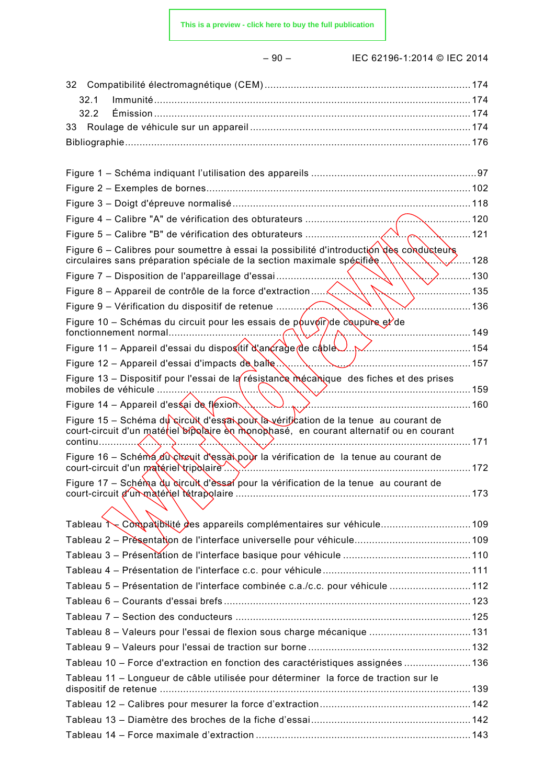– 90 – IEC 62196-1:2014 © IEC 2014

| 32.                                                                                                                                                                             |             |
|---------------------------------------------------------------------------------------------------------------------------------------------------------------------------------|-------------|
| 32.1                                                                                                                                                                            |             |
| 32.2                                                                                                                                                                            |             |
| 33                                                                                                                                                                              |             |
|                                                                                                                                                                                 |             |
|                                                                                                                                                                                 |             |
|                                                                                                                                                                                 |             |
|                                                                                                                                                                                 |             |
|                                                                                                                                                                                 |             |
|                                                                                                                                                                                 |             |
| $\sim$ 21                                                                                                                                                                       |             |
| Figure 6 - Calibres pour soumettre à essai la possibilité d'introductión dès conducteurs<br>circulaires sans préparation spéciale de la section maximale spécifiée              | ∕…… 128∶    |
| . <i>.</i>                                                                                                                                                                      | $\dots$ 130 |
| . 135                                                                                                                                                                           |             |
| <u>. 136</u>                                                                                                                                                                    |             |
| Figure 10 – Schémas du circuit pour les essais de pouvoir de coupure et de                                                                                                      |             |
| Figure 11 - Appareil d'essai du dispositif d'ancrage de cable                                                                                                                   |             |
| Figure 12 - Appareil d'essai d'impacts de balle                                                                                                                                 |             |
| Figure 13 - Dispositif pour l'essai de la résistance mécanique des fiches et des prises<br>mobiles de véhicule                                                                  |             |
|                                                                                                                                                                                 |             |
| Figure 15 – Schéma du circuit d'essai pour la vérification de la tenue au courant de<br>court-circuit d'un matériel bipolaire en monophasé, en courant alternatif ou en courant |             |
| Figure 16 – Schéma du che d'essai pour la vérification de la tenue au courant de<br>court-circuit d'un matérie tripolaire.                                                      |             |
| Figure 17 - Schéma du dircult d'essa pour la vérification de la tenue au courant de                                                                                             |             |
|                                                                                                                                                                                 |             |
| Tableau T Compatibilité des appareils complémentaires sur véhicule 109                                                                                                          |             |
|                                                                                                                                                                                 |             |
|                                                                                                                                                                                 |             |
|                                                                                                                                                                                 |             |
| Tableau 5 - Présentation de l'interface combinée c.a./c.c. pour véhicule  112                                                                                                   |             |
|                                                                                                                                                                                 |             |
|                                                                                                                                                                                 |             |
| Tableau 8 - Valeurs pour l'essai de flexion sous charge mécanique  131                                                                                                          |             |
|                                                                                                                                                                                 |             |
| Tableau 10 - Force d'extraction en fonction des caractéristiques assignées  136                                                                                                 |             |
| Tableau 11 - Longueur de câble utilisée pour déterminer la force de traction sur le                                                                                             |             |
|                                                                                                                                                                                 |             |
|                                                                                                                                                                                 |             |
|                                                                                                                                                                                 |             |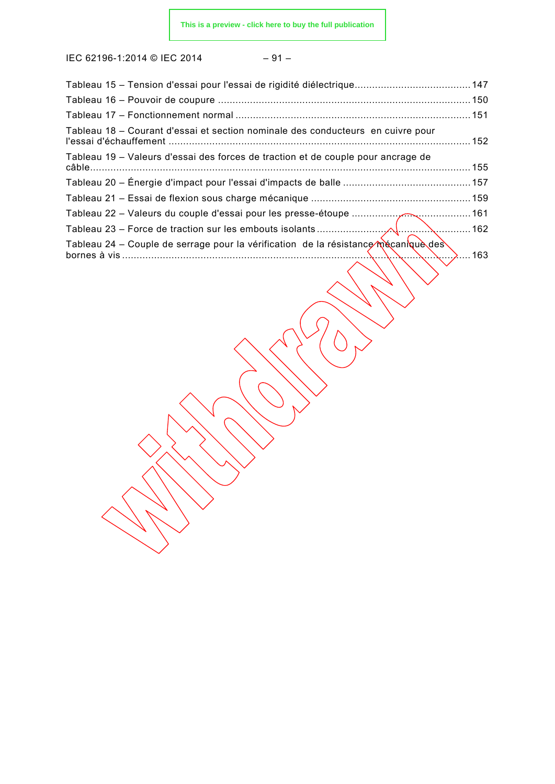IEC 62196-1:2014 © IEC 2014

| ۰, |
|----|
|----|

| Tableau 18 - Courant d'essai et section nominale des conducteurs en cuivre pour                                 |     |
|-----------------------------------------------------------------------------------------------------------------|-----|
| Tableau 19 – Valeurs d'essai des forces de traction et de couple pour ancrage de                                |     |
|                                                                                                                 |     |
|                                                                                                                 |     |
|                                                                                                                 |     |
|                                                                                                                 | 162 |
| Tableau 24 – Couple de serrage pour la vérification de la résistance mécanique des<br>$\sum$ 163<br>San an an a |     |
|                                                                                                                 |     |
|                                                                                                                 |     |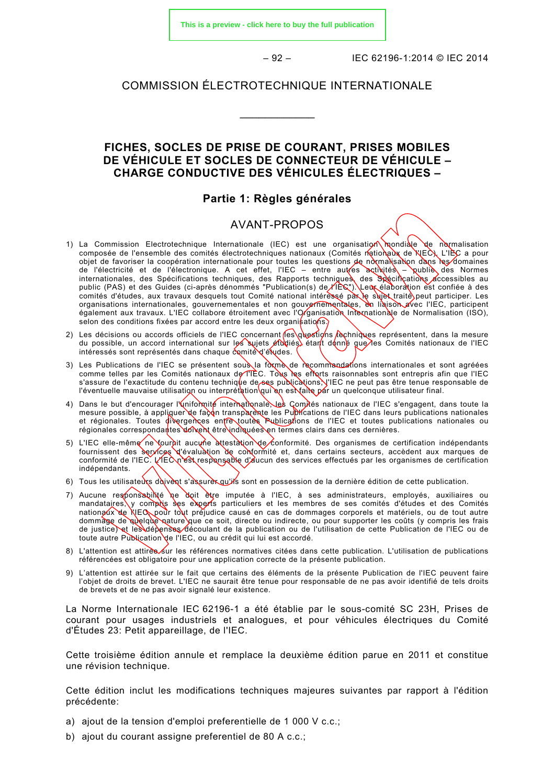**[This is a preview - click here to buy the full publication](https://webstore.iec.ch/publication/6582&preview)**

– 92 – IEC 62196-1:2014 © IEC 2014

#### COMMISSION ÉLECTROTECHNIQUE INTERNATIONALE

\_\_\_\_\_\_\_\_\_\_\_\_

#### **FICHES, SOCLES DE PRISE DE COURANT, PRISES MOBILES DE VÉHICULE ET SOCLES DE CONNECTEUR DE VÉHICULE – CHARGE CONDUCTIVE DES VÉHICULES ÉLECTRIQUES –**

#### **Partie 1: Règles générales**

#### AVANT-PROPOS

- <span id="page-14-0"></span>1) La Commission Electrotechnique Internationale (IEC) est une organisation mondiale de normalisation composée de l'ensemble des comités électrotechniques nationaux (Comités nationaux de NEC). L'IEC a pour objet de favoriser la coopération internationale pour toutes les questions de normalisation dans les⁄domaines de l'électricité et de l'électronique. A cet effet, l'IEC – entre autres activités – publie des Normes internationales, des Spécifications techniques, des Rapports techniques, des Spécifications accessibles au public (PAS) et des Guides (ci-après dénommés "Publication(s) de l'IEC"). Leux élaboration est confiée à des comités d'études, aux travaux desquels tout Comité national intéressé par le sujet traité peut participer. Les organisations internationales, gouvernementales et non gouvernementales, en liaison *a*vec l'IEC, participent également aux travaux. L'IEC collabore étroitement avec l'Organisation Internationale de Normalisation (ISO), selon des conditions fixées par accord entre les deux organisations.
- 2) Les décisions ou accords officiels de l'IEC concernant (es guestions techniques représentent, dans la mesure du possible, un accord international sur les sujets étudiés, étant donné que les Comités nationaux de l'IEC intéressés sont représentés dans chaque comité d'études.
- 3) Les Publications de l'IEC se présentent sous la forme de recommandations internationales et sont agréées comme telles par les Comités nationaux de TEC. Tous les efforts raisonnables sont entrepris afin que l'IEC s'assure de l'exactitude du contenu technique de ses publications; l'IEC ne peut pas être tenue responsable de l'éventuelle mauvaise utilisation ou interprétation qui en est faite par un quelconque utilisateur final.
- 4) Dans le but d'encourager l'uniformité internationale, les Comités nationaux de l'IEC s'engagent, dans toute la mesure possible, à appliquer de façon transparènte les Puplications de l'IEC dans leurs publications nationales et régionales. Toutes divergences entre toutes Publications de l'IEC et toutes publications nationales ou régionales correspondantes doivent être indiquées en termes clairs dans ces dernières.
- 5) L'IEC elle-même ne fournit aucune attestation de conformité. Des organismes de certification indépendants fournissent des <del>S</del>ervices d'évaluation de conformité et, dans certains secteurs, accèdent aux marques de conformité de l'IEC. L'IEC\n'est responsable d'aucun des services effectués par les organismes de certification indépendants.
- 6) Tous les utilisateurs doivent s'assurer qu'ils sont en possession de la dernière édition de cette publication.
- 7) Aucune responsabilité ne doit être imputée à l'IEC, à ses administrateurs, employés, auxiliaires ou mandataires, y compiles ses experts particuliers et les membres de ses comités d'études et des Comités nationaux de NEC, pour tout préjudice causé en cas de dommages corporels et matériels, ou de tout autre dommage de quelque nature que ce soit, directe ou indirecte, ou pour supporter les coûts (y compris les frais de justice) et les dépenses découlant de la publication ou de l'utilisation de cette Publication de l'IEC ou de toute autre Publication de l'IEC, ou au crédit qui lui est accordé.
- 8) L'attention est attirée sur les références normatives citées dans cette publication. L'utilisation de publications référencées est obligatoire pour une application correcte de la présente publication.
- 9) L'attention est attirée sur le fait que certains des éléments de la présente Publication de l'IEC peuvent faire l'objet de droits de brevet. L'IEC ne saurait être tenue pour responsable de ne pas avoir identifié de tels droits de brevets et de ne pas avoir signalé leur existence.

La Norme Internationale IEC 62196-1 a été établie par le sous-comité SC 23H, Prises de courant pour usages industriels et analogues, et pour véhicules électriques du Comité d'Études 23: Petit appareillage, de l'IEC.

Cette troisième édition annule et remplace la deuxième édition parue en 2011 et constitue une révision technique.

Cette édition inclut les modifications techniques majeures suivantes par rapport à l'édition précédente:

- a) ajout de la tension d'emploi preferentielle de 1 000 V c.c.;
- b) ajout du courant assigne preferentiel de 80 A c.c.;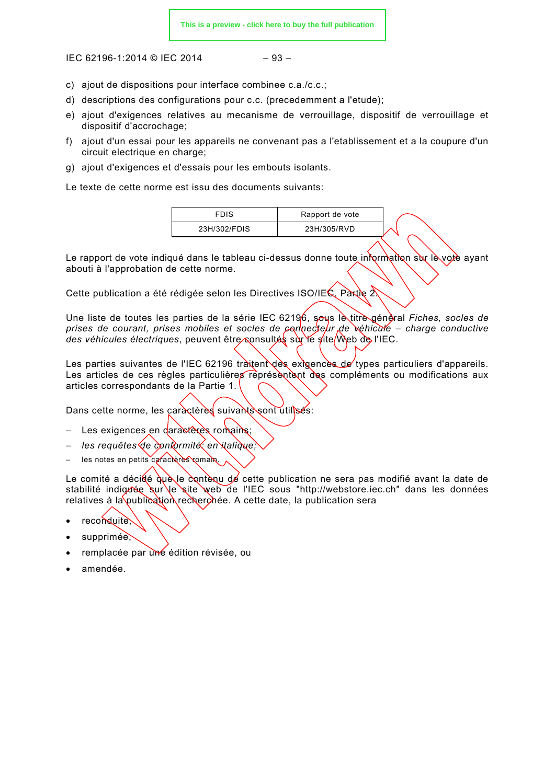IEC 62196-1:2014 © IEC 2014

$$
-93-
$$

- c) ajout de dispositions pour interface combinee c.a./c.c.;
- d) descriptions des configurations pour c.c. (precedemment a l'etude);
- e) ajout d'exigences relatives au mecanisme de verrouillage, dispositif de verrouillage et dispositif d'accrochage;
- f) ajout d'un essai pour les appareils ne convenant pas a l'etablissement et a la coupure d'un circuit electrique en charge;
- g) ajout d'exigences et d'essais pour les embouts isolants.

Le texte de cette norme est issu des documents suivants:

| <b>FDIS</b>  | Rapport de vote |  |
|--------------|-----------------|--|
| 23H/302/FDIS | 23H/305/RVD     |  |

Le rapport de vote indiqué dans le tableau ci-dessus donne toute information sur le vote ayant abouti à l'approbation de cette norme.

Cette publication a été rédigée selon les Directives ISO/IEC, Partie 2

Une liste de toutes les parties de la série IEC 62196, sous le titre général *Fiches, socles de*  prises de courant, prises mobiles et socles de connecteur de véhicule – charge conductive des véhicules électriques, peuvent être consultés sur le site Web de l'IEC.

Les parties suivantes de l'IEC 62196 traitent des exigences de types particuliers d'appareils. Les articles de ces règles particulières représèntent des compléments ou modifications aux articles correspondants de la Partie 1.

Dans cette norme, les caractères suivants sont utilisés:

- Les exigences en caractères romains;
- *les requêtes de conformité: en italique;*
- les notes en petits caractères romain

Le comité a décide que le contenu de cette publication ne sera pas modifié avant la date de stabilité indiguée sur le site web de l'IEC sous "http://webstore.iec.ch" dans les données relatives à la publication recherchée. A cette date, la publication sera

- reconduite,
- supprimée,
- remplacée par une édition révisée, ou
- amendée.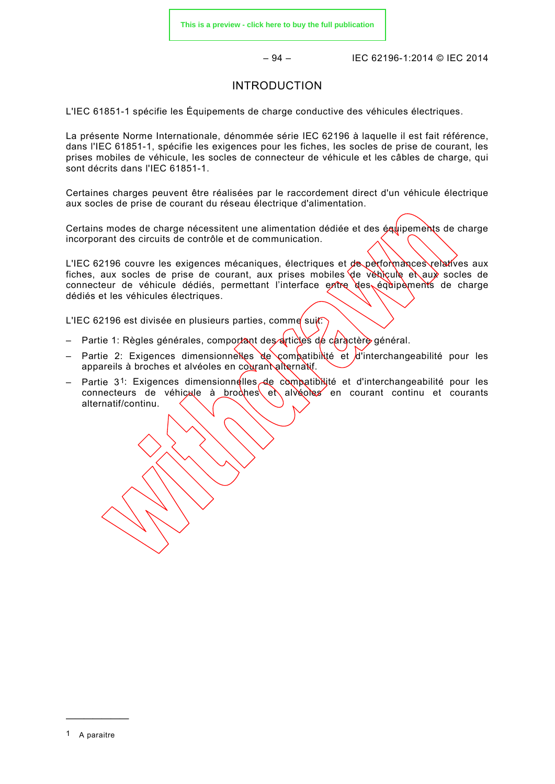– 94 – IEC 62196-1:2014 © IEC 2014

#### INTRODUCTION

<span id="page-16-0"></span>L'IEC 61851-1 spécifie les Équipements de charge conductive des véhicules électriques.

La présente Norme Internationale, dénommée série IEC 62196 à laquelle il est fait référence, dans l'IEC 61851-1, spécifie les exigences pour les fiches, les socles de prise de courant, les prises mobiles de véhicule, les socles de connecteur de véhicule et les câbles de charge, qui sont décrits dans l'IEC 61851-1.

Certaines charges peuvent être réalisées par le raccordement direct d'un véhicule électrique aux socles de prise de courant du réseau électrique d'alimentation.

Certains modes de charge nécessitent une alimentation dédiée et des équipements de charge incorporant des circuits de contrôle et de communication.

L'IEC 62196 couvre les exigences mécaniques, électriques et de performances relatives aux fiches, aux socles de prise de courant, aux prises mobiles de véhicule et aux socles de connecteur de véhicule dédiés, permettant l'interface entre des équipements de charge dédiés et les véhicules électriques.

L'IEC 62196 est divisée en plusieurs parties, comme suit

- Partie 1: Règles générales, comportant des articles de caractère général.
- Partie 2: Exigences dimensionnelles de compatibilité et d'interchangeabilité pour les appareils à broches et alvéoles en courant alternatif.
- Partie 3<sup>[1](#page-16-1)</sup>: Exigences dimensionnélles de compatibilité et d'interchangeabilité pour les connecteurs de véhicule à broches et alvéoles en courant continu et courants alternatif/continu.

———————

<span id="page-16-1"></span><sup>1</sup> A paraitre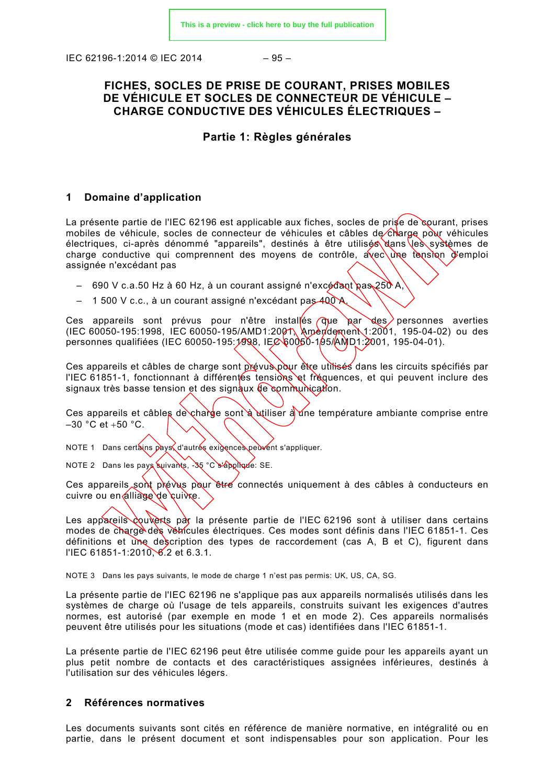IEC 62196-1:2014 © IEC 2014 – 95 –

#### **FICHES, SOCLES DE PRISE DE COURANT, PRISES MOBILES DE VÉHICULE ET SOCLES DE CONNECTEUR DE VÉHICULE – CHARGE CONDUCTIVE DES VÉHICULES ÉLECTRIQUES –**

#### **Partie 1: Règles générales**

#### <span id="page-17-0"></span>**1 Domaine d'application**

La présente partie de l'IEC 62196 est applicable aux fiches, socles de prise de courant, prises mobiles de véhicule, socles de connecteur de véhicules et câbles de charge pour véhicules électriques, ci-après dénommé "appareils", destinés à être utilisés dans les systèmes de charge conductive qui comprennent des moyens de contrôle, avec une tension d'emploi assignée n'excédant pas

- $-$  690 V c.a.50 Hz à 60 Hz, à un courant assigné n'excédant pas 250 A
- $-$  1 500 V c.c., à un courant assigné n'excédant pas 400 A.

Ces appareils sont prévus pour n'être installés que par des personnes averties (IEC 60050-195:1998, IEC 60050-195/AMD1:2001, Amendement 1:2001, 195-04-02) ou des personnes qualifiées (IEC 60050-195:1998, IEC 60050-195/AMD1:2001, 195-04-01).

Ces appareils et câbles de charge sont prévus pour être utilisés dans les circuits spécifiés par l'IEC 61851-1, fonctionnant à différentés tensions et fréquences, et qui peuvent inclure des signaux très basse tension et des signaux de communication.

Ces appareils et câbles de charge sont à utiliser à une température ambiante comprise entre  $-30$  °C et  $+50$  °C.

NOTE 1 Dans certains pays, d'autrés exigences peuvent s'appliquer.

NOTE 2 Dans les pays suivants, -35 °C s'applique: SE.

Ces appareils sont prévus pour être connectés uniquement à des câbles à conducteurs en cuivre ou en alliage de cuivre.

Les appareils couverts par la présente partie de l'IEC 62196 sont à utiliser dans certains modes de charge des véhícules électriques. Ces modes sont définis dans l'IEC 61851-1. Ces définitions et une description des types de raccordement (cas A, B et C), figurent dans l'IEC 61851-1:2010, 6.2 et 6.3.1.

NOTE 3 Dans les pays suivants, le mode de charge 1 n'est pas permis: UK, US, CA, SG.

La présente partie de l'IEC 62196 ne s'applique pas aux appareils normalisés utilisés dans les systèmes de charge où l'usage de tels appareils, construits suivant les exigences d'autres normes, est autorisé (par exemple en mode 1 et en mode 2). Ces appareils normalisés peuvent être utilisés pour les situations (mode et cas) identifiées dans l'IEC 61851-1.

La présente partie de l'IEC 62196 peut être utilisée comme guide pour les appareils ayant un plus petit nombre de contacts et des caractéristiques assignées inférieures, destinés à l'utilisation sur des véhicules légers.

#### <span id="page-17-1"></span>**2 Références normatives**

Les documents suivants sont cités en référence de manière normative, en intégralité ou en partie, dans le présent document et sont indispensables pour son application. Pour les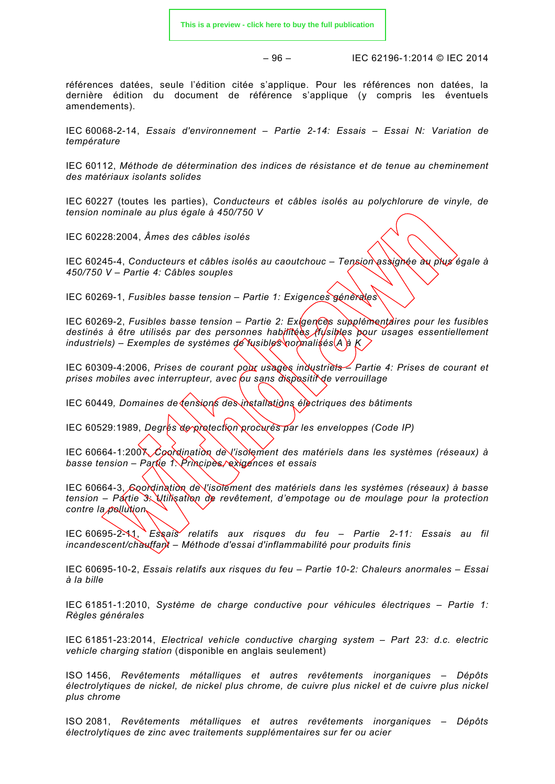– 96 – IEC 62196-1:2014 © IEC 2014

références datées, seule l'édition citée s'applique. Pour les références non datées, la dernière édition du document de référence s'applique (y compris les éventuels amendements).

IEC 60068-2-14, *Essais d'environnement – Partie 2-14: Essais – Essai N: Variation de température*

IEC 60112, *Méthode de détermination des indices de résistance et de tenue au cheminement des matériaux isolants solides*

IEC 60227 (toutes les parties), *Conducteurs et câbles isolés au polychlorure de vinyle, de tension nominale au plus égale à 450/750 V*

IEC 60228:2004, *Âmes des câbles isolés*

IEC 60245-4, *Conducteurs et câbles isolés au caoutchouc – Tension assignée au plus égale à 450/750 V – Partie 4: Câbles souples*

IEC 60269-1, *Fusibles basse tension – Partie 1: Exigences générales*

IEC 60269-2, *Fusibles basse tension – Partie 2: Exigences supplémentaires pour les fusibles destinés à être utilisés par des personnes habilitées (fusibles pour usages essentiellement industriels) – Exemples de systèmes de fusibles normalisés A à K* 

IEC 60309-4:2006, *Prises de courant pour usages industriels – Partie 4: Prises de courant et*  prises mobiles avec interrupteur, avec *ou* sans dispositive verrouillage

IEC 60449*, Domaines de tensions des installations électriques des bâtiments*

IEC 60529:1989, *Degrés de protection procurés par les enveloppes (Code IP)*

IEC 60664-1:2007, *Coordination de l'isolement des matériels dans les systèmes (réseaux) à basse tension – Partie 1: Principes, exigences et essais* 

IEC 60664-3, *Coordination de l'isolement des matériels dans les systèmes (réseaux) à basse tension – Partie 3: Utilisation de revêtement, d'empotage ou de moulage pour la protection contre la pollution* 

IEC 60695-2-11, *Essais relatifs aux risques du feu – Partie 2-11: Essais au fil incandescent/chauffant – Méthode d'essai d'inflammabilité pour produits finis*

IEC 60695-10-2, *Essais relatifs aux risques du feu – Partie 10-2: Chaleurs anormales – Essai à la bille*

IEC 61851-1:2010, *Système de charge conductive pour véhicules électriques – Partie 1: Règles générales*

IEC 61851-23:2014, *Electrical vehicle conductive charging system – Part 23: d.c. electric vehicle charging station* (disponible en anglais seulement)

ISO 1456, *Revêtements métalliques et autres revêtements inorganiques – Dépôts électrolytiques de nickel, de nickel plus chrome, de cuivre plus nickel et de cuivre plus nickel plus chrome*

ISO 2081, *Revêtements métalliques et autres revêtements inorganiques – Dépôts électrolytiques de zinc avec traitements supplémentaires sur fer ou acier*